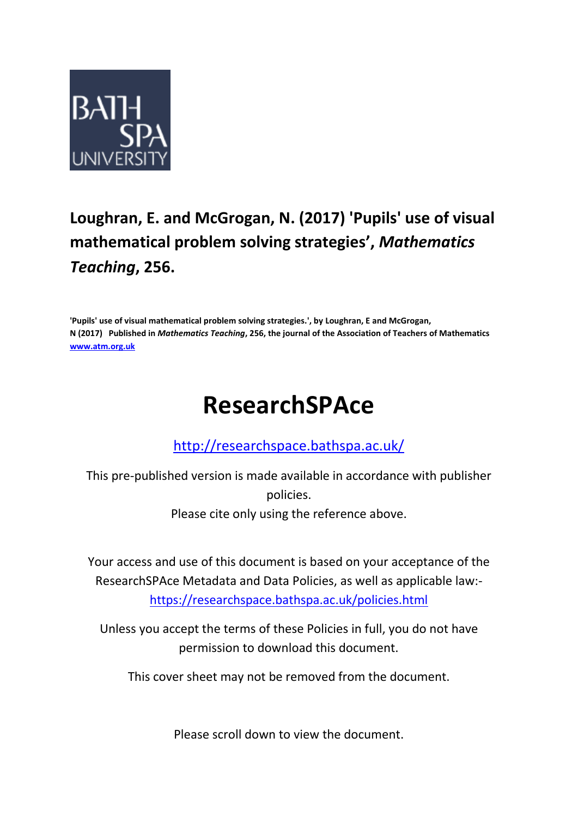

## **Loughran, E. and McGrogan, N. (2017) 'Pupils' use of visual mathematical problem solving strategies' ,** *Mathematics Teaching***, 256.**

**'Pupils' use of visual mathematical problem solving strategies.', by Loughran, E and McGrogan, N (2017) Published in** *Mathematics Teaching***, 256, the journal of the Association of Teachers of Mathematics [www.atm.org.uk](http://www.atm.org.uk/)**

# **ResearchSPAce**

## <http://researchspace.bathspa.ac.uk/>

This pre-published version is made available in accordance with publisher policies. Please cite only using the reference above.

Your access and use of this document is based on your acceptance of the ResearchSPAce Metadata and Data Policies, as well as applicable law: https://researchspace.bathspa.ac.uk/policies.html

Unless you accept the terms of these Policies in full, you do not have permission to download this document.

This cover sheet may not be removed from the document.

Please scroll down to view the document.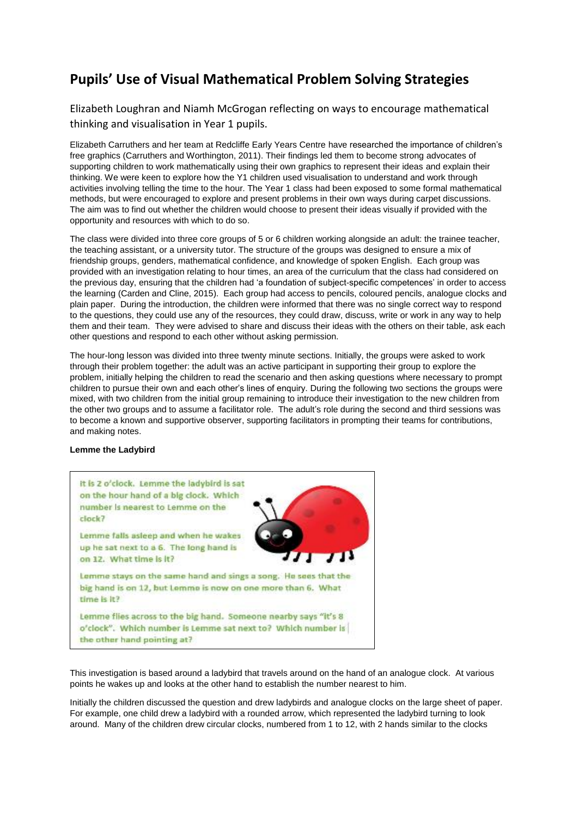### **Pupils' Use of Visual Mathematical Problem Solving Strategies**

Elizabeth Loughran and Niamh McGrogan reflecting on ways to encourage mathematical thinking and visualisation in Year 1 pupils.

Elizabeth Carruthers and her team at Redcliffe Early Years Centre have researched the importance of children's free graphics (Carruthers and Worthington, 2011). Their findings led them to become strong advocates of supporting children to work mathematically using their own graphics to represent their ideas and explain their thinking. We were keen to explore how the Y1 children used visualisation to understand and work through activities involving telling the time to the hour. The Year 1 class had been exposed to some formal mathematical methods, but were encouraged to explore and present problems in their own ways during carpet discussions. The aim was to find out whether the children would choose to present their ideas visually if provided with the opportunity and resources with which to do so.

The class were divided into three core groups of 5 or 6 children working alongside an adult: the trainee teacher, the teaching assistant, or a university tutor. The structure of the groups was designed to ensure a mix of friendship groups, genders, mathematical confidence, and knowledge of spoken English. Each group was provided with an investigation relating to hour times, an area of the curriculum that the class had considered on the previous day, ensuring that the children had 'a foundation of subject-specific competences' in order to access the learning (Carden and Cline, 2015). Each group had access to pencils, coloured pencils, analogue clocks and plain paper. During the introduction, the children were informed that there was no single correct way to respond to the questions, they could use any of the resources, they could draw, discuss, write or work in any way to help them and their team. They were advised to share and discuss their ideas with the others on their table, ask each other questions and respond to each other without asking permission.

The hour-long lesson was divided into three twenty minute sections. Initially, the groups were asked to work through their problem together: the adult was an active participant in supporting their group to explore the problem, initially helping the children to read the scenario and then asking questions where necessary to prompt children to pursue their own and each other's lines of enquiry. During the following two sections the groups were mixed, with two children from the initial group remaining to introduce their investigation to the new children from the other two groups and to assume a facilitator role. The adult's role during the second and third sessions was to become a known and supportive observer, supporting facilitators in prompting their teams for contributions, and making notes.

#### **Lemme the Ladybird**



This investigation is based around a ladybird that travels around on the hand of an analogue clock. At various points he wakes up and looks at the other hand to establish the number nearest to him.

Initially the children discussed the question and drew ladybirds and analogue clocks on the large sheet of paper. For example, one child drew a ladybird with a rounded arrow, which represented the ladybird turning to look around. Many of the children drew circular clocks, numbered from 1 to 12, with 2 hands similar to the clocks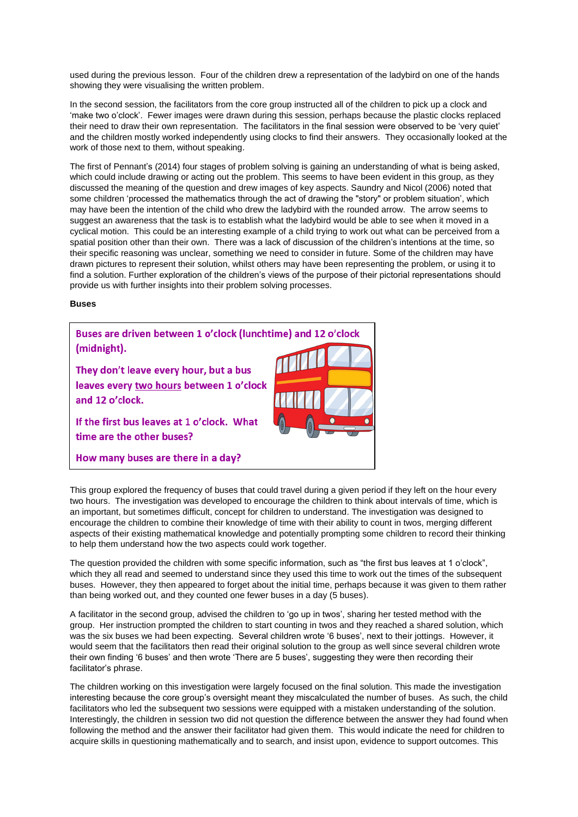used during the previous lesson. Four of the children drew a representation of the ladybird on one of the hands showing they were visualising the written problem.

In the second session, the facilitators from the core group instructed all of the children to pick up a clock and 'make two o'clock'. Fewer images were drawn during this session, perhaps because the plastic clocks replaced their need to draw their own representation. The facilitators in the final session were observed to be 'very quiet' and the children mostly worked independently using clocks to find their answers. They occasionally looked at the work of those next to them, without speaking.

The first of Pennant's (2014) four stages of problem solving is gaining an understanding of what is being asked, which could include drawing or acting out the problem. This seems to have been evident in this group, as they discussed the meaning of the question and drew images of key aspects. Saundry and Nicol (2006) noted that some children 'processed the mathematics through the act of drawing the "story" or problem situation', which may have been the intention of the child who drew the ladybird with the rounded arrow. The arrow seems to suggest an awareness that the task is to establish what the ladybird would be able to see when it moved in a cyclical motion. This could be an interesting example of a child trying to work out what can be perceived from a spatial position other than their own. There was a lack of discussion of the children's intentions at the time, so their specific reasoning was unclear, something we need to consider in future. Some of the children may have drawn pictures to represent their solution, whilst others may have been representing the problem, or using it to find a solution. Further exploration of the children's views of the purpose of their pictorial representations should provide us with further insights into their problem solving processes.

#### **Buses**



This group explored the frequency of buses that could travel during a given period if they left on the hour every two hours. The investigation was developed to encourage the children to think about intervals of time, which is an important, but sometimes difficult, concept for children to understand. The investigation was designed to encourage the children to combine their knowledge of time with their ability to count in twos, merging different aspects of their existing mathematical knowledge and potentially prompting some children to record their thinking to help them understand how the two aspects could work together.

The question provided the children with some specific information, such as "the first bus leaves at 1 o'clock", which they all read and seemed to understand since they used this time to work out the times of the subsequent buses. However, they then appeared to forget about the initial time, perhaps because it was given to them rather than being worked out, and they counted one fewer buses in a day (5 buses).

A facilitator in the second group, advised the children to 'go up in twos', sharing her tested method with the group. Her instruction prompted the children to start counting in twos and they reached a shared solution, which was the six buses we had been expecting. Several children wrote '6 buses', next to their jottings. However, it would seem that the facilitators then read their original solution to the group as well since several children wrote their own finding '6 buses' and then wrote 'There are 5 buses', suggesting they were then recording their facilitator's phrase.

The children working on this investigation were largely focused on the final solution. This made the investigation interesting because the core group's oversight meant they miscalculated the number of buses. As such, the child facilitators who led the subsequent two sessions were equipped with a mistaken understanding of the solution. Interestingly, the children in session two did not question the difference between the answer they had found when following the method and the answer their facilitator had given them. This would indicate the need for children to acquire skills in questioning mathematically and to search, and insist upon, evidence to support outcomes. This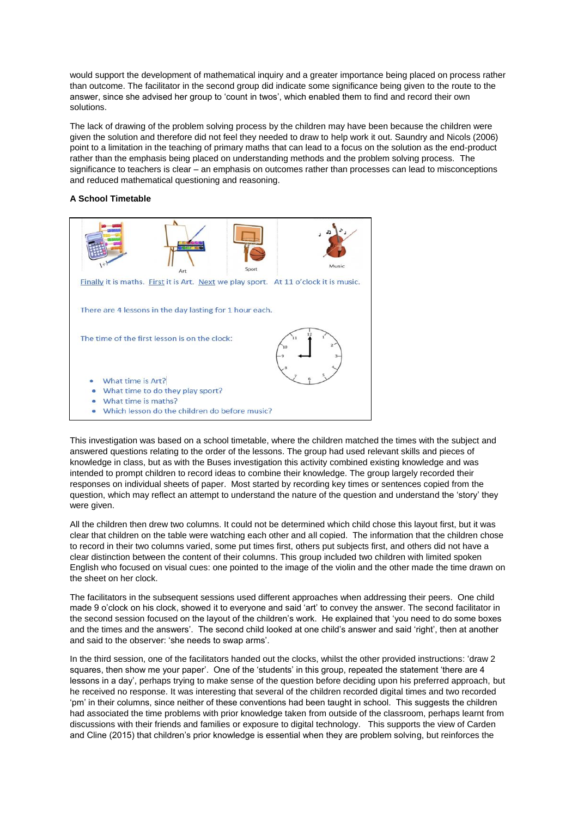would support the development of mathematical inquiry and a greater importance being placed on process rather than outcome. The facilitator in the second group did indicate some significance being given to the route to the answer, since she advised her group to 'count in twos', which enabled them to find and record their own solutions.

The lack of drawing of the problem solving process by the children may have been because the children were given the solution and therefore did not feel they needed to draw to help work it out. Saundry and Nicols (2006) point to a limitation in the teaching of primary maths that can lead to a focus on the solution as the end-product rather than the emphasis being placed on understanding methods and the problem solving process. The significance to teachers is clear – an emphasis on outcomes rather than processes can lead to misconceptions and reduced mathematical questioning and reasoning.

#### **A School Timetable**



This investigation was based on a school timetable, where the children matched the times with the subject and answered questions relating to the order of the lessons. The group had used relevant skills and pieces of knowledge in class, but as with the Buses investigation this activity combined existing knowledge and was intended to prompt children to record ideas to combine their knowledge. The group largely recorded their responses on individual sheets of paper. Most started by recording key times or sentences copied from the question, which may reflect an attempt to understand the nature of the question and understand the 'story' they were given.

All the children then drew two columns. It could not be determined which child chose this layout first, but it was clear that children on the table were watching each other and all copied. The information that the children chose to record in their two columns varied, some put times first, others put subjects first, and others did not have a clear distinction between the content of their columns. This group included two children with limited spoken English who focused on visual cues: one pointed to the image of the violin and the other made the time drawn on the sheet on her clock.

The facilitators in the subsequent sessions used different approaches when addressing their peers. One child made 9 o'clock on his clock, showed it to everyone and said 'art' to convey the answer. The second facilitator in the second session focused on the layout of the children's work. He explained that 'you need to do some boxes and the times and the answers'. The second child looked at one child's answer and said 'right', then at another and said to the observer: 'she needs to swap arms'.

In the third session, one of the facilitators handed out the clocks, whilst the other provided instructions: 'draw 2 squares, then show me your paper'. One of the 'students' in this group, repeated the statement 'there are 4 lessons in a day', perhaps trying to make sense of the question before deciding upon his preferred approach, but he received no response. It was interesting that several of the children recorded digital times and two recorded 'pm' in their columns, since neither of these conventions had been taught in school. This suggests the children had associated the time problems with prior knowledge taken from outside of the classroom, perhaps learnt from discussions with their friends and families or exposure to digital technology. This supports the view of Carden and Cline (2015) that children's prior knowledge is essential when they are problem solving, but reinforces the